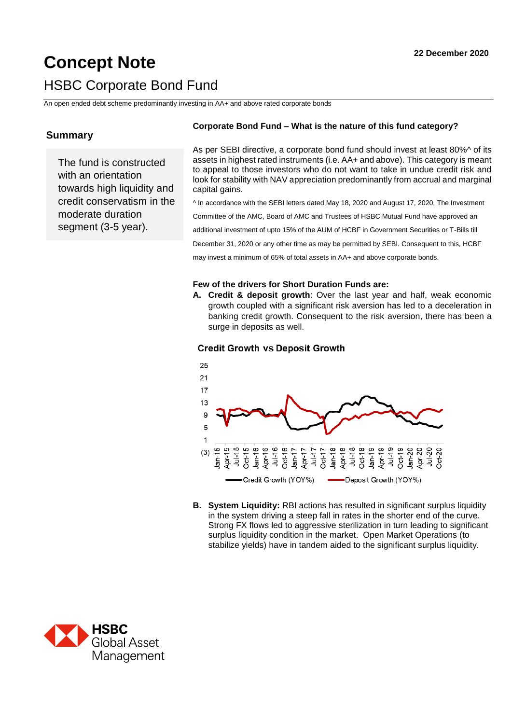# **Concept Note 2020 22 December 2020** HSBC Corporate Bond Fund

An open ended debt scheme predominantly investing in AA+ and above rated corporate bonds

# **Summary**

The fund is constructed with an orientation towards high liquidity and credit conservatism in the moderate duration segment (3-5 year).

### **Corporate Bond Fund – What is the nature of this fund category?**

As per SEBI directive, a corporate bond fund should invest at least 80%^ of its assets in highest rated instruments (i.e. AA+ and above). This category is meant to appeal to those investors who do not want to take in undue credit risk and look for stability with NAV appreciation predominantly from accrual and marginal capital gains.

^ In accordance with the SEBI letters dated May 18, 2020 and August 17, 2020, The Investment

Committee of the AMC, Board of AMC and Trustees of HSBC Mutual Fund have approved an

additional investment of upto 15% of the AUM of HCBF in Government Securities or T-Bills till

December 31, 2020 or any other time as may be permitted by SEBI. Consequent to this, HCBF

may invest a minimum of 65% of total assets in AA+ and above corporate bonds.

#### **Few of the drivers for Short Duration Funds are:**

**A. Credit & deposit growth**: Over the last year and half, weak economic growth coupled with a significant risk aversion has led to a deceleration in banking credit growth. Consequent to the risk aversion, there has been a surge in deposits as well.

### **Credit Growth vs Deposit Growth**



**B. System Liquidity:** RBI actions has resulted in significant surplus liquidity in the system driving a steep fall in rates in the shorter end of the curve. Strong FX flows led to aggressive sterilization in turn leading to significant surplus liquidity condition in the market. Open Market Operations (to stabilize yields) have in tandem aided to the significant surplus liquidity.

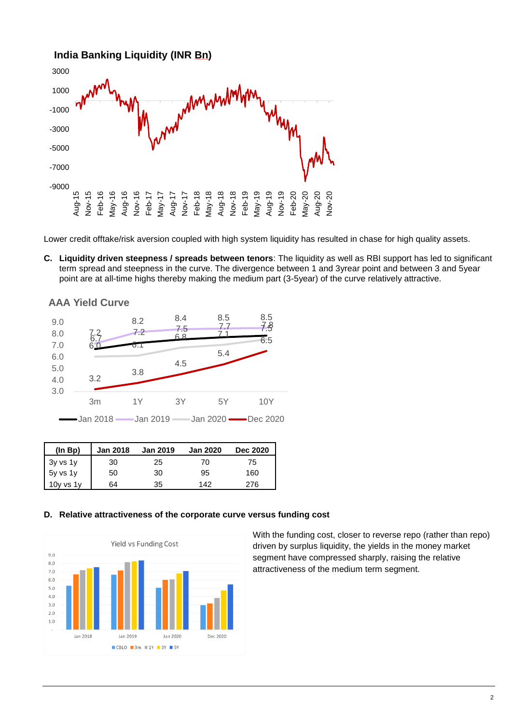

Lower credit offtake/risk aversion coupled with high system liquidity has resulted in chase for high quality assets.

**C. Liquidity driven steepness / spreads between tenors**: The liquidity as well as RBI support has led to significant term spread and steepness in the curve. The divergence between 1 and 3yrear point and between 3 and 5year point are at all-time highs thereby making the medium part (3-5year) of the curve relatively attractive.

**AAA Yield Curve**



| (ln BD)  | <b>Jan 2018</b> | <b>Jan 2019</b> | <b>Jan 2020</b> | <b>Dec 2020</b> |
|----------|-----------------|-----------------|-----------------|-----------------|
| 3y vs 1y | 30              | 25              | 70              | 75              |
| 5y vs 1y | 50              | 30              | 95              | 160             |
| Ov.      | 64              | 35              | 142             | 276             |

#### **D. Relative attractiveness of the corporate curve versus funding cost**



With the funding cost, closer to reverse repo (rather than repo) driven by surplus liquidity, the yields in the money market segment have compressed sharply, raising the relative attractiveness of the medium term segment.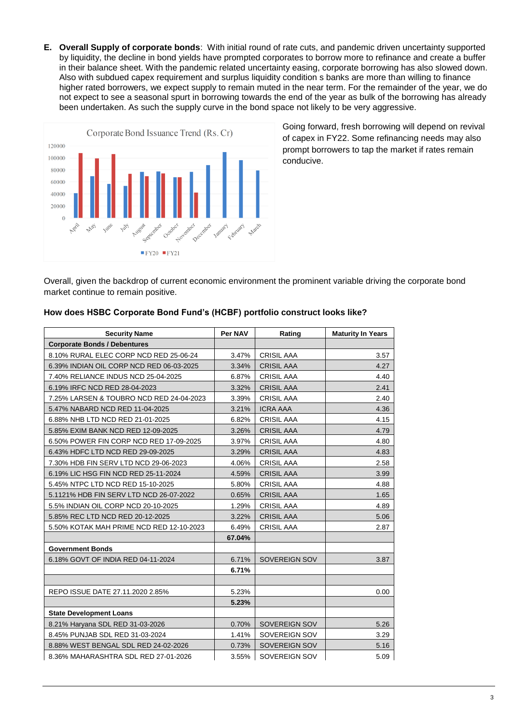**E. Overall Supply of corporate bonds**: With initial round of rate cuts, and pandemic driven uncertainty supported by liquidity, the decline in bond yields have prompted corporates to borrow more to refinance and create a buffer in their balance sheet. With the pandemic related uncertainty easing, corporate borrowing has also slowed down. Also with subdued capex requirement and surplus liquidity condition s banks are more than willing to finance higher rated borrowers, we expect supply to remain muted in the near term. For the remainder of the year, we do not expect to see a seasonal spurt in borrowing towards the end of the year as bulk of the borrowing has already been undertaken. As such the supply curve in the bond space not likely to be very aggressive.



Going forward, fresh borrowing will depend on revival of capex in FY22. Some refinancing needs may also prompt borrowers to tap the market if rates remain conducive.

Overall, given the backdrop of current economic environment the prominent variable driving the corporate bond market continue to remain positive.

| <b>Security Name</b>                     | Per NAV | Rating            | <b>Maturity In Years</b> |
|------------------------------------------|---------|-------------------|--------------------------|
| <b>Corporate Bonds / Debentures</b>      |         |                   |                          |
| 8.10% RURAL ELEC CORP NCD RED 25-06-24   | 3.47%   | <b>CRISIL AAA</b> | 3.57                     |
| 6.39% INDIAN OIL CORP NCD RED 06-03-2025 | 3.34%   | <b>CRISIL AAA</b> | 4.27                     |
| 7.40% RELIANCE INDUS NCD 25-04-2025      | 6.87%   | <b>CRISIL AAA</b> | 4.40                     |
| 6.19% IRFC NCD RED 28-04-2023            | 3.32%   | <b>CRISIL AAA</b> | 2.41                     |
| 7.25% LARSEN & TOUBRO NCD RED 24-04-2023 | 3.39%   | <b>CRISIL AAA</b> | 2.40                     |
| 5.47% NABARD NCD RED 11-04-2025          | 3.21%   | <b>ICRA AAA</b>   | 4.36                     |
| 6.88% NHB LTD NCD RED 21-01-2025         | 6.82%   | <b>CRISIL AAA</b> | 4.15                     |
| 5.85% EXIM BANK NCD RED 12-09-2025       | 3.26%   | <b>CRISIL AAA</b> | 4.79                     |
| 6.50% POWER FIN CORP NCD RED 17-09-2025  | 3.97%   | <b>CRISIL AAA</b> | 4.80                     |
| 6.43% HDFC LTD NCD RED 29-09-2025        | 3.29%   | <b>CRISIL AAA</b> | 4.83                     |
| 7.30% HDB FIN SERV LTD NCD 29-06-2023    | 4.06%   | <b>CRISIL AAA</b> | 2.58                     |
| 6.19% LIC HSG FIN NCD RED 25-11-2024     | 4.59%   | <b>CRISIL AAA</b> | 3.99                     |
| 5.45% NTPC LTD NCD RED 15-10-2025        | 5.80%   | <b>CRISIL AAA</b> | 4.88                     |
| 5.1121% HDB FIN SERV LTD NCD 26-07-2022  | 0.65%   | <b>CRISIL AAA</b> | 1.65                     |
| 5.5% INDIAN OIL CORP NCD 20-10-2025      | 1.29%   | <b>CRISIL AAA</b> | 4.89                     |
| 5.85% REC LTD NCD RED 20-12-2025         | 3.22%   | <b>CRISIL AAA</b> | 5.06                     |
| 5.50% KOTAK MAH PRIME NCD RED 12-10-2023 | 6.49%   | <b>CRISIL AAA</b> | 2.87                     |
|                                          | 67.04%  |                   |                          |
| <b>Government Bonds</b>                  |         |                   |                          |
| 6.18% GOVT OF INDIA RED 04-11-2024       | 6.71%   | SOVEREIGN SOV     | 3.87                     |
|                                          | 6.71%   |                   |                          |
|                                          |         |                   |                          |
| REPO ISSUE DATE 27.11.2020 2.85%         | 5.23%   |                   | 0.00                     |
|                                          | 5.23%   |                   |                          |
| <b>State Development Loans</b>           |         |                   |                          |
| 8.21% Haryana SDL RED 31-03-2026         | 0.70%   | SOVEREIGN SOV     | 5.26                     |
| 8.45% PUNJAB SDL RED 31-03-2024          | 1.41%   | SOVEREIGN SOV     | 3.29                     |
| 8.88% WEST BENGAL SDL RED 24-02-2026     | 0.73%   | SOVEREIGN SOV     | 5.16                     |
| 8.36% MAHARASHTRA SDL RED 27-01-2026     | 3.55%   | SOVEREIGN SOV     | 5.09                     |

## **How does HSBC Corporate Bond Fund's (HCBF) portfolio construct looks like?**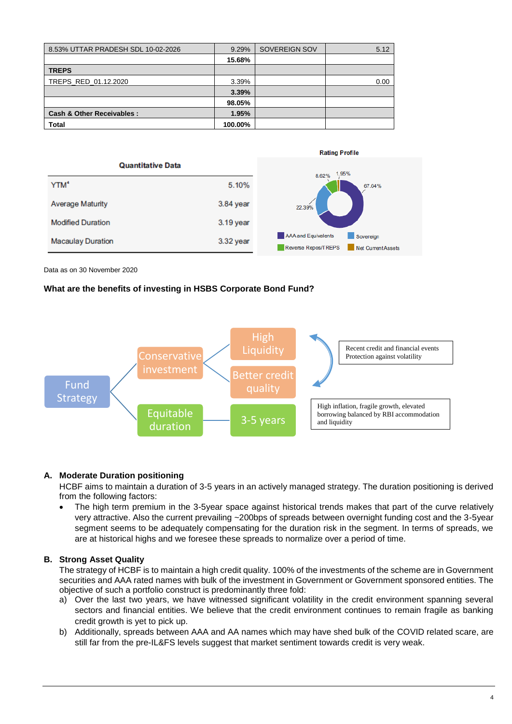| 8.53% UTTAR PRADESH SDL 10-02-2026 | 9.29%   | SOVEREIGN SOV | 5.12 |
|------------------------------------|---------|---------------|------|
|                                    | 15.68%  |               |      |
| <b>TREPS</b>                       |         |               |      |
| TREPS RED 01.12.2020               | 3.39%   |               | 0.00 |
|                                    | 3.39%   |               |      |
|                                    | 98.05%  |               |      |
| Cash & Other Receivables:          | 1.95%   |               |      |
| Total                              | 100.00% |               |      |



Data as on 30 November 2020

## **What are the benefits of investing in HSBS Corporate Bond Fund?**



#### **A. Moderate Duration positioning**

HCBF aims to maintain a duration of 3-5 years in an actively managed strategy. The duration positioning is derived from the following factors:

 The high term premium in the 3-5year space against historical trends makes that part of the curve relatively very attractive. Also the current prevailing ~200bps of spreads between overnight funding cost and the 3-5year segment seems to be adequately compensating for the duration risk in the segment. In terms of spreads, we are at historical highs and we foresee these spreads to normalize over a period of time.

## **B. Strong Asset Quality**

The strategy of HCBF is to maintain a high credit quality. 100% of the investments of the scheme are in Government securities and AAA rated names with bulk of the investment in Government or Government sponsored entities. The objective of such a portfolio construct is predominantly three fold:

- a) Over the last two years, we have witnessed significant volatility in the credit environment spanning several sectors and financial entities. We believe that the credit environment continues to remain fragile as banking credit growth is yet to pick up.
- b) Additionally, spreads between AAA and AA names which may have shed bulk of the COVID related scare, are still far from the pre-IL&FS levels suggest that market sentiment towards credit is very weak.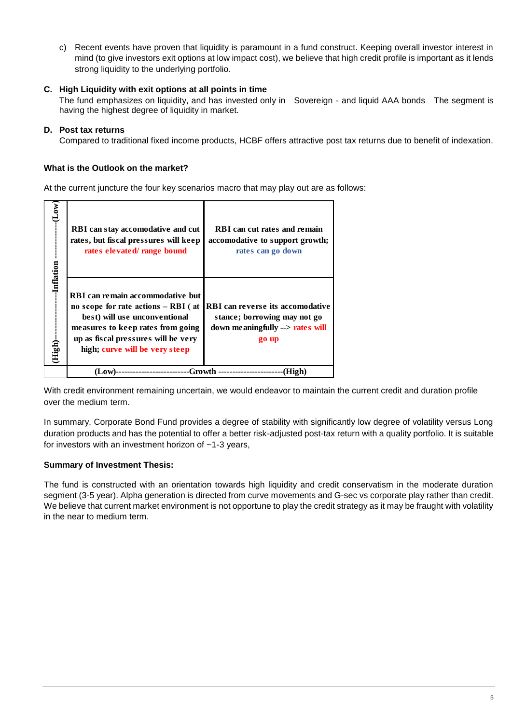c) Recent events have proven that liquidity is paramount in a fund construct. Keeping overall investor interest in mind (to give investors exit options at low impact cost), we believe that high credit profile is important as it lends strong liquidity to the underlying portfolio.

## **C. High Liquidity with exit options at all points in time**

The fund emphasizes on liquidity, and has invested only in Sovereign - and liquid AAA bonds The segment is having the highest degree of liquidity in market.

## **D. Post tax returns**

Compared to traditional fixed income products, HCBF offers attractive post tax returns due to benefit of indexation.

## **What is the Outlook on the market?**

At the current juncture the four key scenarios macro that may play out are as follows:

|               | -Inflation<br>High)-                                                                                                                                                                                                            | $\mathbf{Low}$                                                                                           |
|---------------|---------------------------------------------------------------------------------------------------------------------------------------------------------------------------------------------------------------------------------|----------------------------------------------------------------------------------------------------------|
| Growth<br>Low | <b>RBI</b> can remain accommodative but<br>no scope for rate actions $-$ RBI (at<br>best) will use unconventional<br>measures to keep rates from going<br>up as fiscal pressures will be very<br>high; curve will be very steep | RBI can stay accomodative and cut<br>rates, but fiscal pressures will keep<br>rates elevated/range bound |
|               | <b>RBI</b> can reverse its accomodative<br>stance; borrowing may not go<br>down meaningfully --> rates will<br>go up                                                                                                            | <b>RBI</b> can cut rates and remain<br>accomodative to support growth;<br>rates can go down              |

With credit environment remaining uncertain, we would endeavor to maintain the current credit and duration profile over the medium term.

In summary, Corporate Bond Fund provides a degree of stability with significantly low degree of volatility versus Long duration products and has the potential to offer a better risk-adjusted post-tax return with a quality portfolio. It is suitable for investors with an investment horizon of ~1-3 years,

## **Summary of Investment Thesis:**

The fund is constructed with an orientation towards high liquidity and credit conservatism in the moderate duration segment (3-5 year). Alpha generation is directed from curve movements and G-sec vs corporate play rather than credit. We believe that current market environment is not opportune to play the credit strategy as it may be fraught with volatility in the near to medium term.